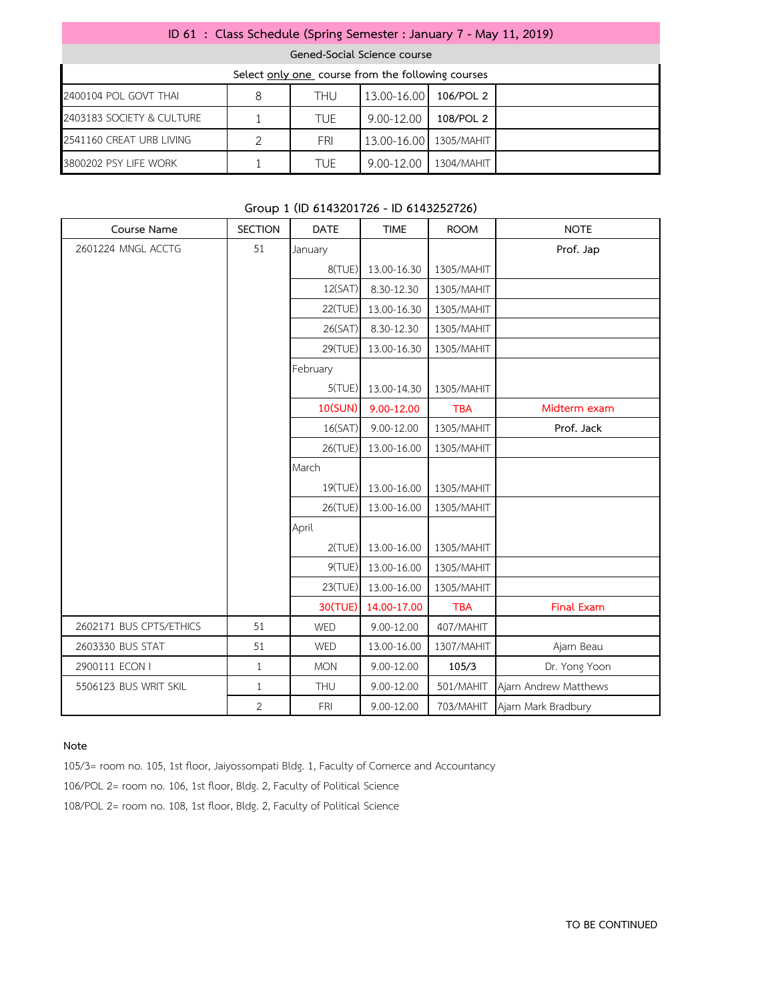| ID 61 : Class Schedule (Spring Semester : January 7 - May 11, 2019) |   |            |             |            |  |  |  |
|---------------------------------------------------------------------|---|------------|-------------|------------|--|--|--|
| Gened-Social Science course                                         |   |            |             |            |  |  |  |
| Select only one course from the following courses                   |   |            |             |            |  |  |  |
| 2400104 POL GOVT THAI                                               | 8 | <b>THU</b> | 13.00-16.00 | 106/POL 2  |  |  |  |
| 2403183 SOCIETY & CULTURE                                           |   | <b>TUE</b> | 9.00-12.00  | 108/POL 2  |  |  |  |
| 2541160 CREAT URB LIVING                                            |   | FRI        | 13.00-16.00 | 1305/MAHIT |  |  |  |
| 3800202 PSY LIFE WORK                                               |   | <b>TUE</b> | 9.00-12.00  | 1304/MAHIT |  |  |  |

## **Group 1 (ID 6143201726 - ID 6143252726)**

| Course Name             | <b>SECTION</b> | <b>DATE</b>    | <b>TIME</b> | <b>ROOM</b> | <b>NOTE</b>           |
|-------------------------|----------------|----------------|-------------|-------------|-----------------------|
| 2601224 MNGL ACCTG      | 51             | January        |             |             | Prof. Jap             |
|                         |                | 8(TUE)         | 13.00-16.30 | 1305/MAHIT  |                       |
|                         |                | 12(SAT)        | 8.30-12.30  | 1305/MAHIT  |                       |
|                         |                | 22(TUE)        | 13.00-16.30 | 1305/MAHIT  |                       |
|                         |                | 26(SAT)        | 8.30-12.30  | 1305/MAHIT  |                       |
|                         |                | 29(TUE)        | 13.00-16.30 | 1305/MAHIT  |                       |
|                         |                | February       |             |             |                       |
|                         |                | 5(TUE)         | 13.00-14.30 | 1305/MAHIT  |                       |
|                         |                | <b>10(SUN)</b> | 9.00-12.00  | <b>TBA</b>  | Midterm exam          |
|                         |                | 16(SAT)        | 9.00-12.00  | 1305/MAHIT  | Prof. Jack            |
|                         |                | 26(TUE)        | 13.00-16.00 | 1305/MAHIT  |                       |
|                         |                | March          |             |             |                       |
|                         |                | 19(TUE)        | 13.00-16.00 | 1305/MAHIT  |                       |
|                         |                | 26(TUE)        | 13.00-16.00 | 1305/MAHIT  |                       |
|                         |                | April          |             |             |                       |
|                         |                | 2(TUE)         | 13.00-16.00 | 1305/MAHIT  |                       |
|                         |                | 9(TUE)         | 13.00-16.00 | 1305/MAHIT  |                       |
|                         |                | 23(TUE)        | 13.00-16.00 | 1305/MAHIT  |                       |
|                         |                | <b>30(TUE)</b> | 14.00-17.00 | <b>TBA</b>  | <b>Final Exam</b>     |
| 2602171 BUS CPTS/ETHICS | 51             | WED            | 9.00-12.00  | 407/MAHIT   |                       |
| 2603330 BUS STAT        | 51             | WED            | 13.00-16.00 | 1307/MAHIT  | Ajarn Beau            |
| 2900111 ECON I          | $\mathbf{1}$   | <b>MON</b>     | 9.00-12.00  | 105/3       | Dr. Yong Yoon         |
| 5506123 BUS WRIT SKIL   | $\mathbf{1}$   | THU            | 9.00-12.00  | 501/MAHIT   | Ajarn Andrew Matthews |
|                         | $\overline{2}$ | FRI            | 9.00-12.00  | 703/MAHIT   | Ajarn Mark Bradbury   |

#### **Note**

105/3= room no. 105, 1st floor, Jaiyossompati Bldg. 1, Faculty of Comerce and Accountancy

106/POL 2= room no. 106, 1st floor, Bldg. 2, Faculty of Political Science

108/POL 2= room no. 108, 1st floor, Bldg. 2, Faculty of Political Science